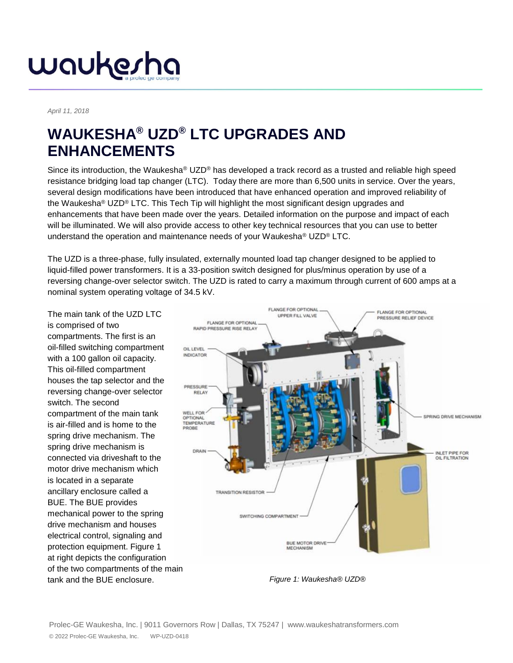#### waukesha

#### *April 11, 2018*

#### **WAUKESHA® UZD® LTC UPGRADES AND ENHANCEMENTS**

Since its introduction, the Waukesha® UZD® has developed a track record as a trusted and reliable high speed resistance bridging load tap changer (LTC). Today there are more than 6,500 units in service. Over the years, several design modifications have been introduced that have enhanced operation and improved reliability of the Waukesha® UZD® LTC. This Tech Tip will highlight the most significant design upgrades and enhancements that have been made over the years. Detailed information on the purpose and impact of each will be illuminated. We will also provide access to other key technical resources that you can use to better understand the operation and maintenance needs of your Waukesha® UZD® LTC.

The UZD is a three-phase, fully insulated, externally mounted load tap changer designed to be applied to liquid-filled power transformers. It is a 33-position switch designed for plus/minus operation by use of a reversing change-over selector switch. The UZD is rated to carry a maximum through current of 600 amps at a nominal system operating voltage of 34.5 kV.

The main tank of the UZD LTC is comprised of two compartments. The first is an oil-filled switching compartment with a 100 gallon oil capacity. This oil-filled compartment houses the tap selector and the reversing change-over selector switch. The second compartment of the main tank is air-filled and is home to the spring drive mechanism. The spring drive mechanism is connected via driveshaft to the motor drive mechanism which is located in a separate ancillary enclosure called a BUE. The BUE provides mechanical power to the spring drive mechanism and houses electrical control, signaling and protection equipment. Figure 1 at right depicts the configuration of the two compartments of the main tank and the BUE enclosure. *Figure 1: Waukesha® UZD®*

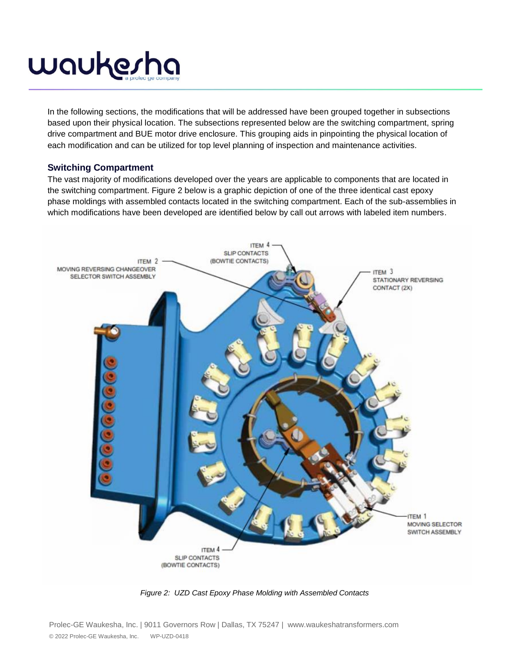In the following sections, the modifications that will be addressed have been grouped together in subsections based upon their physical location. The subsections represented below are the switching compartment, spring drive compartment and BUE motor drive enclosure. This grouping aids in pinpointing the physical location of each modification and can be utilized for top level planning of inspection and maintenance activities.

#### **Switching Compartment**

The vast majority of modifications developed over the years are applicable to components that are located in the switching compartment. Figure 2 below is a graphic depiction of one of the three identical cast epoxy phase moldings with assembled contacts located in the switching compartment. Each of the sub-assemblies in which modifications have been developed are identified below by call out arrows with labeled item numbers.



*Figure 2: UZD Cast Epoxy Phase Molding with Assembled Contacts*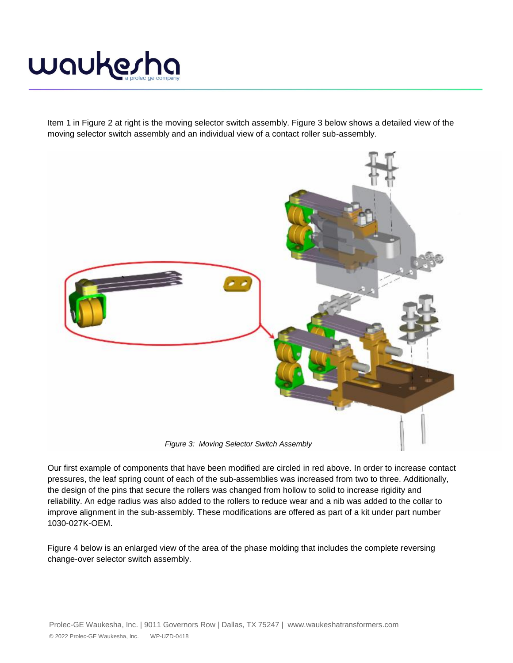

Item 1 in Figure 2 at right is the moving selector switch assembly. Figure 3 below shows a detailed view of the moving selector switch assembly and an individual view of a contact roller sub-assembly.



Our first example of components that have been modified are circled in red above. In order to increase contact pressures, the leaf spring count of each of the sub-assemblies was increased from two to three. Additionally, the design of the pins that secure the rollers was changed from hollow to solid to increase rigidity and reliability. An edge radius was also added to the rollers to reduce wear and a nib was added to the collar to improve alignment in the sub-assembly. These modifications are offered as part of a kit under part number 1030-027K-OEM.

Figure 4 below is an enlarged view of the area of the phase molding that includes the complete reversing change-over selector switch assembly.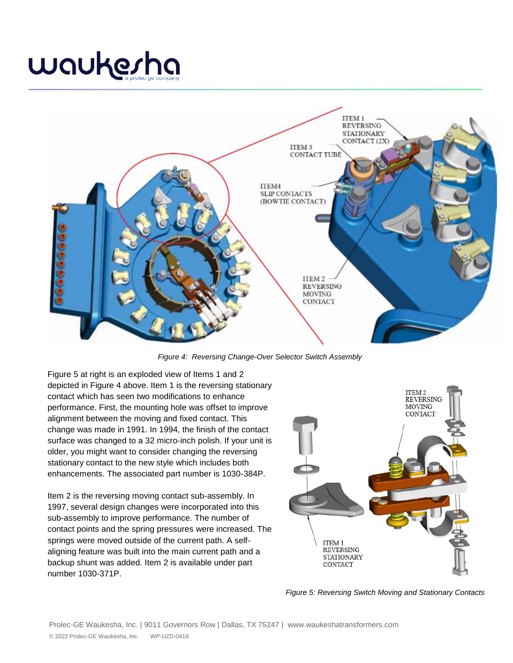### waukesha



*Figure 4: Reversing Change-Over Selector Switch Assembly*

Figure 5 at right is an exploded view of Items 1 and 2 depicted in Figure 4 above. Item 1 is the reversing stationary contact which has seen two modifications to enhance performance. First, the mounting hole was offset to improve alignment between the moving and fixed contact. This change was made in 1991. In 1994, the finish of the contact surface was changed to a 32 micro-inch polish. If your unit is older, you might want to consider changing the reversing stationary contact to the new style which includes both enhancements. The associated part number is 1030-384P.

Item 2 is the reversing moving contact sub-assembly. In 1997, several design changes were incorporated into this sub-assembly to improve performance. The number of contact points and the spring pressures were increased. The springs were moved outside of the current path. A selfaligning feature was built into the main current path and a backup shunt was added. Item 2 is available under part number 1030-371P.



*Figure 5: Reversing Switch Moving and Stationary Contacts*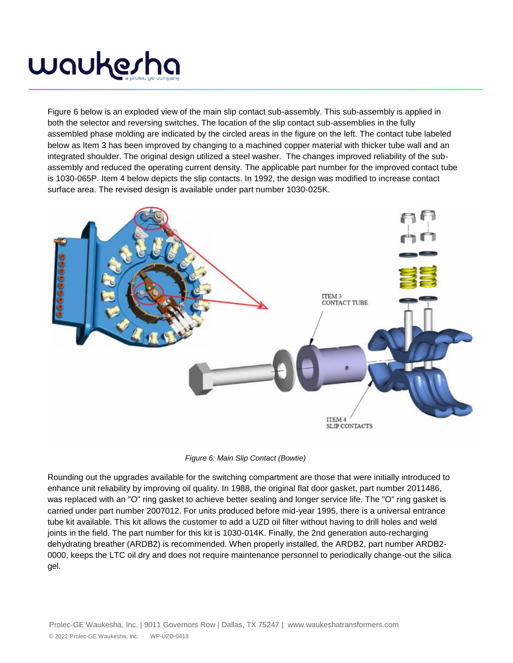Figure 6 below is an exploded view of the main slip contact sub-assembly. This sub-assembly is applied in both the selector and reversing switches. The location of the slip contact sub-assemblies in the fully assembled phase molding are indicated by the circled areas in the figure on the left. The contact tube labeled below as Item 3 has been improved by changing to a machined copper material with thicker tube wall and an integrated shoulder. The original design utilized a steel washer. The changes improved reliability of the subassembly and reduced the operating current density. The applicable part number for the improved contact tube is 1030-065P. Item 4 below depicts the slip contacts. In 1992, the design was modified to increase contact surface area. The revised design is available under part number 1030-025K.





Rounding out the upgrades available for the switching compartment are those that were initially introduced to enhance unit reliability by improving oil quality. In 1988, the original flat door gasket, part number 2011486, was replaced with an "O" ring gasket to achieve better sealing and longer service life. The "O" ring gasket is carried under part number 2007012. For units produced before mid-year 1995, there is a universal entrance tube kit available. This kit allows the customer to add a UZD oil filter without having to drill holes and weld joints in the field. The part number for this kit is 1030-014K. Finally, the 2nd generation auto-recharging dehydrating breather (ARDB2) is recommended. When properly installed, the ARDB2, part number ARDB2- 0000, keeps the LTC oil dry and does not require maintenance personnel to periodically change-out the silica gel.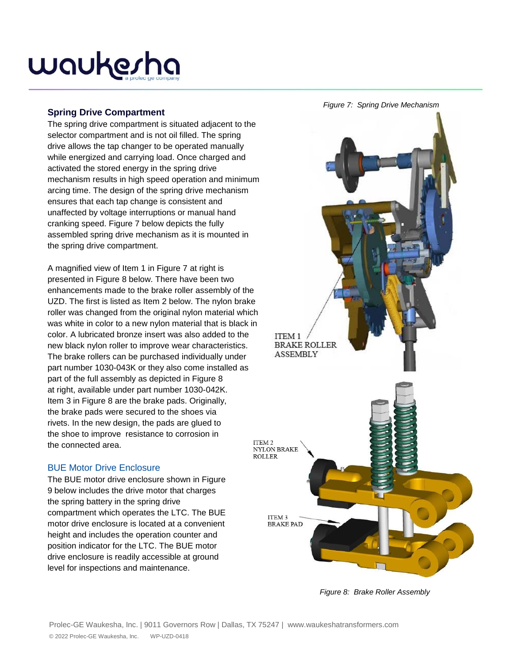#### **Spring Drive Compartment**

The spring drive compartment is situated adjacent to the selector compartment and is not oil filled. The spring drive allows the tap changer to be operated manually while energized and carrying load. Once charged and activated the stored energy in the spring drive mechanism results in high speed operation and minimum arcing time. The design of the spring drive mechanism ensures that each tap change is consistent and unaffected by voltage interruptions or manual hand cranking speed. Figure 7 below depicts the fully assembled spring drive mechanism as it is mounted in the spring drive compartment.

A magnified view of Item 1 in Figure 7 at right is presented in Figure 8 below. There have been two enhancements made to the brake roller assembly of the UZD. The first is listed as Item 2 below. The nylon brake roller was changed from the original nylon material which was white in color to a new nylon material that is black in color. A lubricated bronze insert was also added to the new black nylon roller to improve wear characteristics. The brake rollers can be purchased individually under part number 1030-043K or they also come installed as part of the full assembly as depicted in Figure 8 at right, available under part number 1030-042K. Item 3 in Figure 8 are the brake pads. Originally, the brake pads were secured to the shoes via rivets. In the new design, the pads are glued to the shoe to improve resistance to corrosion in the connected area.

#### BUE Motor Drive Enclosure

The BUE motor drive enclosure shown in Figure 9 below includes the drive motor that charges the spring battery in the spring drive compartment which operates the LTC. The BUE motor drive enclosure is located at a convenient height and includes the operation counter and position indicator for the LTC. The BUE motor drive enclosure is readily accessible at ground level for inspections and maintenance.



*Figure 8: Brake Roller Assembly*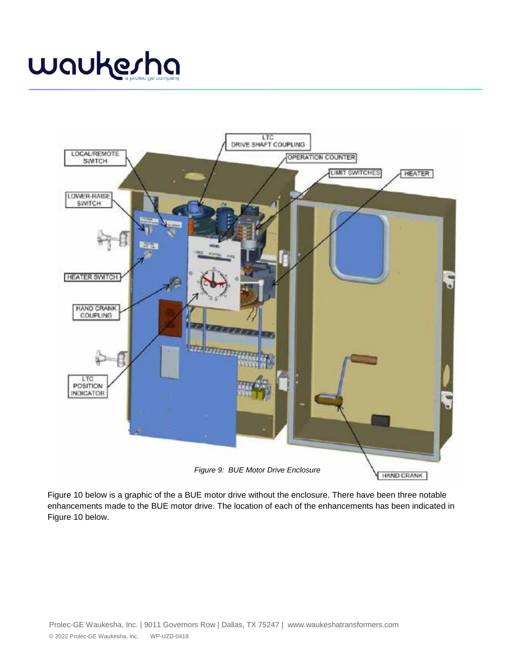# waukesha



Figure 10 below is a graphic of the a BUE motor drive without the enclosure. There have been three notable enhancements made to the BUE motor drive. The location of each of the enhancements has been indicated in Figure 10 below.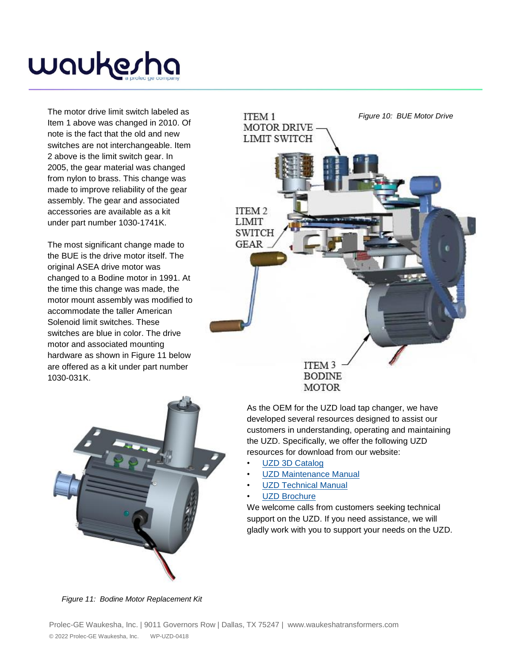The motor drive limit switch labeled as Item 1 above was changed in 2010. Of note is the fact that the old and new switches are not interchangeable. Item 2 above is the limit switch gear. In 2005, the gear material was changed from nylon to brass. This change was made to improve reliability of the gear assembly. The gear and associated accessories are available as a kit under part number 1030-1741K.

The most significant change made to the BUE is the drive motor itself. The original ASEA drive motor was changed to a Bodine motor in 1991. At the time this change was made, the motor mount assembly was modified to accommodate the taller American Solenoid limit switches. These switches are blue in color. The drive motor and associated mounting hardware as shown in Figure 11 below are offered as a kit under part number 1030-031K.





**MOTOR** 

As the OEM for the UZD load tap changer, we have developed several resources designed to assist our customers in understanding, operating and maintaining the UZD. Specifically, we offer the following UZD resources for download from our website:

- [UZD 3D Catalog](https://cld.bz/ijxJcju)
- **[UZD Maintenance Manual](https://www.spxtransformersolutions.com/wp-content/uploads/2017/10/WaukeshaUZDMaintenanceManual_1.2016.pdf)**
- [UZD Technical Manual](https://www.spxtransformersolutions.com/wp-content/uploads/2017/10/WaukeshaUZDTechnicalManual_1.2016.pdf)
- [UZD Brochure](http://www.spxtransformersolutions.com/wp-content/uploads/2017/11/UZD.pdf)

We welcome calls from customers seeking technical support on the UZD. If you need assistance, we will gladly work with you to support your needs on the UZD.

*Figure 11: Bodine Motor Replacement Kit*